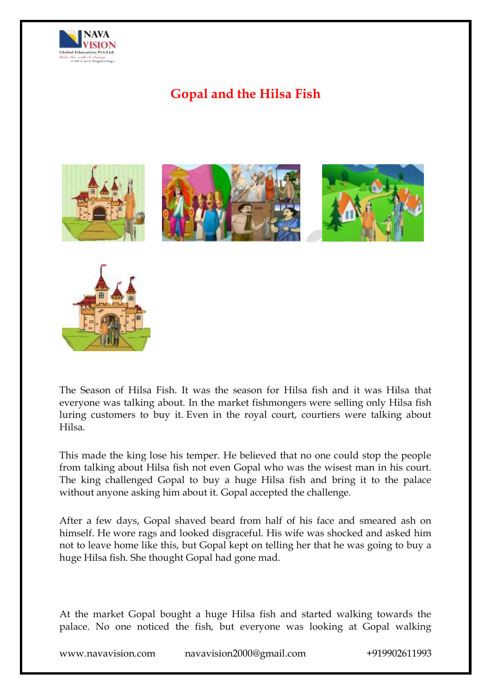

# **Gopal and the Hilsa Fish**





The Season of Hilsa Fish. It was the season for Hilsa fish and it was Hilsa that everyone was talking about. In the market fishmongers were selling only Hilsa fish luring customers to buy it. Even in the royal court, courtiers were talking about Hilsa.

This made the king lose his temper. He believed that no one could stop the people from talking about Hilsa fish not even Gopal who was the wisest man in his court. The king challenged Gopal to buy a huge Hilsa fish and bring it to the palace without anyone asking him about it. Gopal accepted the challenge.

After a few days, Gopal shaved beard from half of his face and smeared ash on himself. He wore rags and looked disgraceful. His wife was shocked and asked him not to leave home like this, but Gopal kept on telling her that he was going to buy a huge Hilsa fish. She thought Gopal had gone mad.

At the market Gopal bought a huge Hilsa fish and started walking towards the palace. No one noticed the fish, but everyone was looking at Gopal walking

www.navavision.com navavision2000@gmail.com +919902611993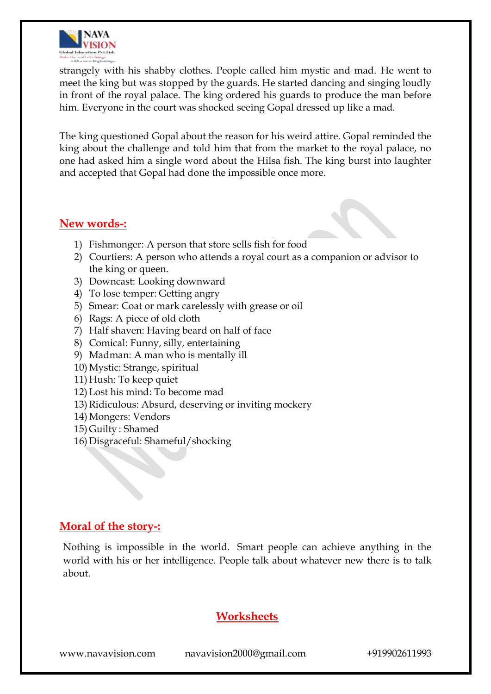

strangely with his shabby clothes. People called him mystic and mad. He went to meet the king but was stopped by the guards. He started dancing and singing loudly in front of the royal palace. The king ordered his guards to produce the man before him. Everyone in the court was shocked seeing Gopal dressed up like a mad.

The king questioned Gopal about the reason for his weird attire. Gopal reminded the king about the challenge and told him that from the market to the royal palace, no one had asked him a single word about the Hilsa fish. The king burst into laughter and accepted that Gopal had done the impossible once more.

## **New words-:**

- 1) Fishmonger: A person that store sells fish for food
- 2) Courtiers: A person who attends a royal court as a companion or advisor to the king or queen.
- 3) Downcast: Looking downward
- 4) To lose temper: Getting angry
- 5) Smear: Coat or mark carelessly with grease or oil
- 6) Rags: A piece of old cloth
- 7) Half shaven: Having beard on half of face
- 8) Comical: Funny, silly, entertaining
- 9) Madman: A man who is mentally ill
- 10) Mystic: Strange, spiritual
- 11) Hush: To keep quiet
- 12) Lost his mind: To become mad
- 13) Ridiculous: Absurd, deserving or inviting mockery
- 14) Mongers: Vendors
- 15) Guilty : Shamed
- 16) Disgraceful: Shameful/shocking

## **Moral of the story-:**

Nothing is impossible in the world. Smart people can achieve anything in the world with his or her intelligence. People talk about whatever new there is to talk about.

## **Worksheets**

www.navavision.com navavision2000@gmail.com +919902611993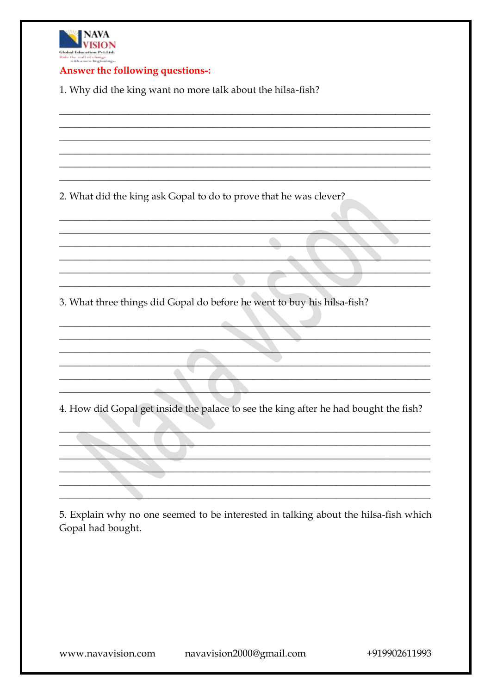

#### Answer the following questions -:

1. Why did the king want no more talk about the hilsa-fish?

2. What did the king ask Gopal to do to prove that he was clever?

3. What three things did Gopal do before he went to buy his hilsa-fish?

 $\bullet$ 

4. How did Gopal get inside the palace to see the king after he had bought the fish?

 $\bullet$ 

5. Explain why no one seemed to be interested in talking about the hilsa-fish which Gopal had bought.

+919902611993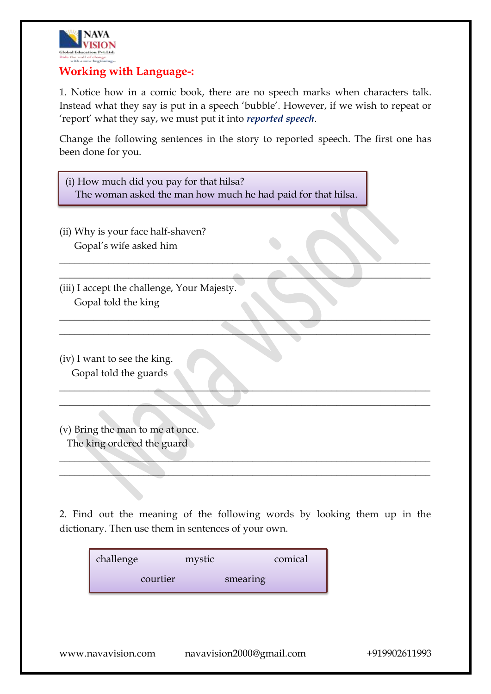

## **Working with Language-:**

1. Notice how in a comic book, there are no speech marks when characters talk. Instead what they say is put in a speech 'bubble'. However, if we wish to repeat or 'report' what they say, we must put it into *reported speech*.

Change the following sentences in the story to reported speech. The first one has been done for you.

 $\blacksquare$  . The contract of the contract of the contract of the contract of the contract of the contract of the contract of the contract of the contract of the contract of the contract of the contract of the contract of the \_\_\_\_\_\_\_\_\_\_\_\_\_\_\_\_\_\_\_\_\_\_\_\_\_\_\_\_\_\_\_\_\_\_\_\_\_\_\_\_\_\_\_\_\_\_\_\_\_\_\_\_\_\_\_\_\_\_\_\_\_\_\_\_\_\_\_\_\_\_\_\_\_\_\_

 $\Box$  . The contract of the contract of the contract of the contract of the contract of the contract of the contract of the contract of the contract of the contract of the contract of the contract of the contract of the co  $\qquad \qquad \qquad \qquad$ 

\_\_\_\_\_\_\_\_\_\_\_\_\_\_\_\_\_\_\_\_\_\_\_\_\_\_\_\_\_\_\_\_\_\_\_\_\_\_\_\_\_\_\_\_\_\_\_\_\_\_\_\_\_\_\_\_\_\_\_\_\_\_\_\_\_\_\_\_\_\_\_\_\_\_\_ \_\_\_\_\_\_\_\_\_\_\_\_\_\_\_\_\_\_\_\_\_\_\_\_\_\_\_\_\_\_\_\_\_\_\_\_\_\_\_\_\_\_\_\_\_\_\_\_\_\_\_\_\_\_\_\_\_\_\_\_\_\_\_\_\_\_\_\_\_\_\_\_\_\_\_

| (i) How much did you pay for that hilsa?                     |
|--------------------------------------------------------------|
| The woman asked the man how much he had paid for that hilsa. |

(ii) Why is your face half-shaven? Gopal's wife asked him

(iii) I accept the challenge, Your Majesty. Gopal told the king

(iv) I want to see the king. Gopal told the guards

(v) Bring the man to me at once. The king ordered the guard

2. Find out the meaning of the following words by looking them up in the dictionary. Then use them in sentences of your own.

\_\_\_\_\_\_\_\_\_\_\_\_\_\_\_\_\_\_\_\_\_\_\_\_\_\_\_\_\_\_\_\_\_\_\_\_\_\_\_\_\_\_\_\_\_\_\_\_\_\_\_\_\_\_\_\_\_\_\_\_\_\_\_\_\_\_\_\_\_\_\_\_\_\_\_  $\Box$  . The contract of the contract of the contract of the contract of the contract of the contract of the contract of the contract of the contract of the contract of the contract of the contract of the contract of the co

| challenge | mystic |          | comical |
|-----------|--------|----------|---------|
| courtier  |        | smearing |         |